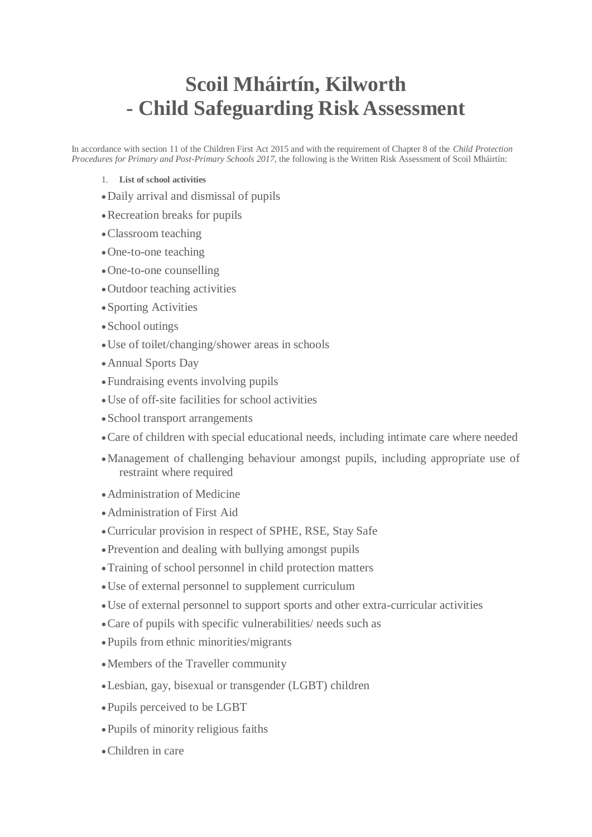## **Scoil Mháirtín, Kilworth - Child Safeguarding Risk Assessment**

In accordance with section 11 of the Children First Act 2015 and with the requirement of Chapter 8 of the *Child Protection Procedures for Primary and Post-Primary Schools 2017*, the following is the Written Risk Assessment of Scoil Mháirtín:

- 1. **List of school activities**
- Daily arrival and dismissal of pupils
- Recreation breaks for pupils
- Classroom teaching
- One-to-one teaching
- One-to-one counselling
- Outdoor teaching activities
- Sporting Activities
- School outings
- Use of toilet/changing/shower areas in schools
- Annual Sports Day
- Fundraising events involving pupils
- Use of off-site facilities for school activities
- School transport arrangements
- Care of children with special educational needs, including intimate care where needed
- Management of challenging behaviour amongst pupils, including appropriate use of restraint where required
- Administration of Medicine
- Administration of First Aid
- Curricular provision in respect of SPHE, RSE, Stay Safe
- Prevention and dealing with bullying amongst pupils
- Training of school personnel in child protection matters
- Use of external personnel to supplement curriculum
- Use of external personnel to support sports and other extra-curricular activities
- Care of pupils with specific vulnerabilities/ needs such as
- Pupils from ethnic minorities/migrants
- Members of the Traveller community
- Lesbian, gay, bisexual or transgender (LGBT) children
- Pupils perceived to be LGBT
- Pupils of minority religious faiths
- Children in care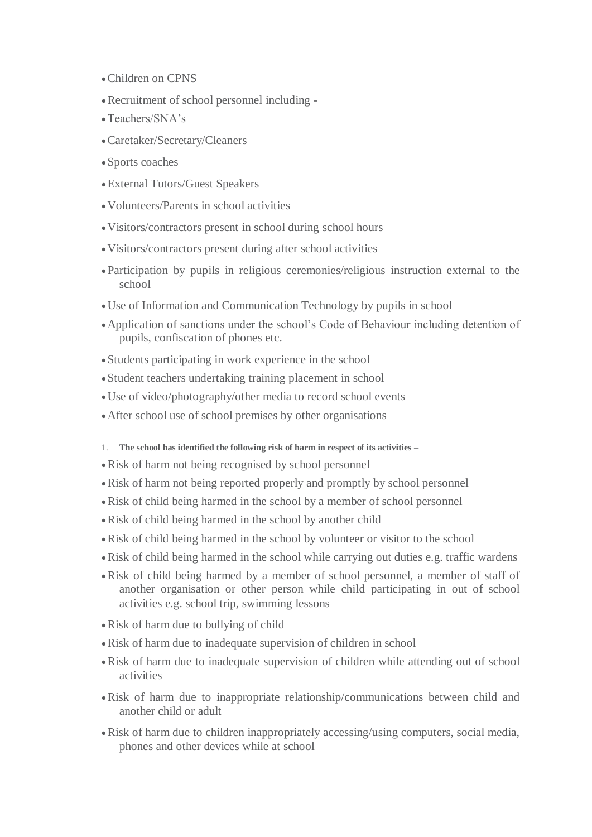- Children on CPNS
- Recruitment of school personnel including -
- Teachers/SNA's
- Caretaker/Secretary/Cleaners
- Sports coaches
- External Tutors/Guest Speakers
- Volunteers/Parents in school activities
- Visitors/contractors present in school during school hours
- Visitors/contractors present during after school activities
- Participation by pupils in religious ceremonies/religious instruction external to the school
- Use of Information and Communication Technology by pupils in school
- Application of sanctions under the school's Code of Behaviour including detention of pupils, confiscation of phones etc.
- Students participating in work experience in the school
- Student teachers undertaking training placement in school
- Use of video/photography/other media to record school events
- After school use of school premises by other organisations
- 1. **The school has identified the following risk of harm in respect of its activities –**
- Risk of harm not being recognised by school personnel
- Risk of harm not being reported properly and promptly by school personnel
- Risk of child being harmed in the school by a member of school personnel
- Risk of child being harmed in the school by another child
- Risk of child being harmed in the school by volunteer or visitor to the school
- Risk of child being harmed in the school while carrying out duties e.g. traffic wardens
- Risk of child being harmed by a member of school personnel, a member of staff of another organisation or other person while child participating in out of school activities e.g. school trip, swimming lessons
- Risk of harm due to bullying of child
- Risk of harm due to inadequate supervision of children in school
- Risk of harm due to inadequate supervision of children while attending out of school activities
- Risk of harm due to inappropriate relationship/communications between child and another child or adult
- Risk of harm due to children inappropriately accessing/using computers, social media, phones and other devices while at school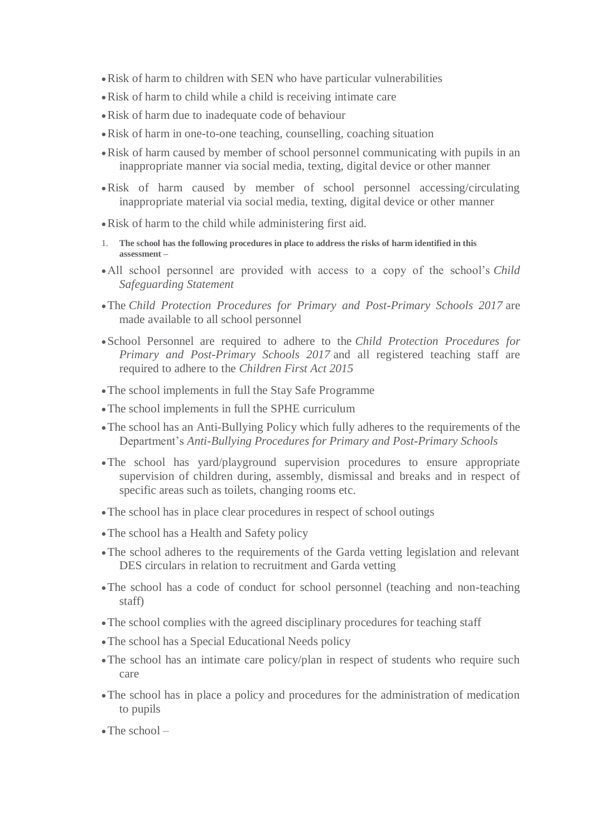- Risk of harm to children with SEN who have particular vulnerabilities
- Risk of harm to child while a child is receiving intimate care
- Risk of harm due to inadequate code of behaviour
- Risk of harm in one-to-one teaching, counselling, coaching situation
- Risk of harm caused by member of school personnel communicating with pupils in an inappropriate manner via social media, texting, digital device or other manner
- Risk of harm caused by member of school personnel accessing/circulating inappropriate material via social media, texting, digital device or other manner
- Risk of harm to the child while administering first aid.
- 1. **The school has the following procedures in place to address the risks of harm identified in this assessment –**
- All school personnel are provided with access to a copy of the school's *Child Safeguarding Statement*
- The *Child Protection Procedures for Primary and Post-Primary Schools 2017* are made available to all school personnel
- School Personnel are required to adhere to the *Child Protection Procedures for Primary and Post-Primary Schools 2017* and all registered teaching staff are required to adhere to the *Children First Act 2015*
- The school implements in full the Stay Safe Programme
- The school implements in full the SPHE curriculum
- The school has an Anti-Bullying Policy which fully adheres to the requirements of the Department's *Anti-Bullying Procedures for Primary and Post-Primary Schools*
- The school has yard/playground supervision procedures to ensure appropriate supervision of children during, assembly, dismissal and breaks and in respect of specific areas such as toilets, changing rooms etc.
- The school has in place clear procedures in respect of school outings
- The school has a Health and Safety policy
- The school adheres to the requirements of the Garda vetting legislation and relevant DES circulars in relation to recruitment and Garda vetting
- The school has a code of conduct for school personnel (teaching and non-teaching staff)
- The school complies with the agreed disciplinary procedures for teaching staff
- The school has a Special Educational Needs policy
- The school has an intimate care policy/plan in respect of students who require such care
- The school has in place a policy and procedures for the administration of medication to pupils
- $\bullet$  The school  $-$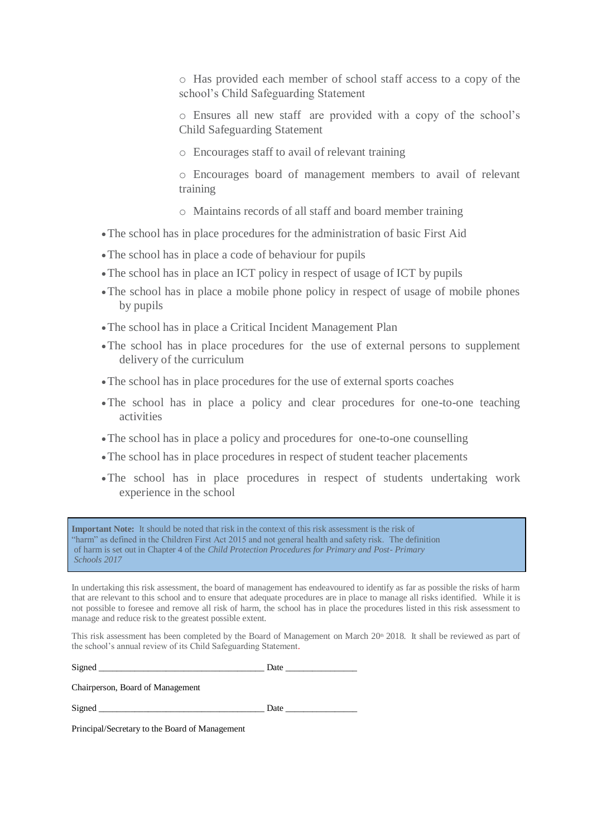o Has provided each member of school staff access to a copy of the school's Child Safeguarding Statement

o Ensures all new staff are provided with a copy of the school's Child Safeguarding Statement

o Encourages staff to avail of relevant training

o Encourages board of management members to avail of relevant training

o Maintains records of all staff and board member training

- The school has in place procedures for the administration of basic First Aid
- The school has in place a code of behaviour for pupils
- The school has in place an ICT policy in respect of usage of ICT by pupils
- The school has in place a mobile phone policy in respect of usage of mobile phones by pupils
- The school has in place a Critical Incident Management Plan
- The school has in place procedures for the use of external persons to supplement delivery of the curriculum
- The school has in place procedures for the use of external sports coaches
- The school has in place a policy and clear procedures for one-to-one teaching activities
- The school has in place a policy and procedures for one-to-one counselling
- The school has in place procedures in respect of student teacher placements
- The school has in place procedures in respect of students undertaking work experience in the school

**Important Note:** It should be noted that risk in the context of this risk assessment is the risk of "harm" as defined in the Children First Act 2015 and not general health and safety risk. The definition of harm is set out in Chapter 4 of the *Child Protection Procedures for Primary and Post- Primary Schools 2017*

In undertaking this risk assessment, the board of management has endeavoured to identify as far as possible the risks of harm that are relevant to this school and to ensure that adequate procedures are in place to manage all risks identified. While it is not possible to foresee and remove all risk of harm, the school has in place the procedures listed in this risk assessment to manage and reduce risk to the greatest possible extent.

This risk assessment has been completed by the Board of Management on March 20<sup>th</sup> 2018. It shall be reviewed as part of the school's annual review of its Child Safeguarding Statement.

Signed \_\_\_\_\_\_\_\_\_\_\_\_\_\_\_\_\_\_\_\_\_\_\_\_\_\_\_\_\_\_\_\_\_\_\_\_\_ Date \_\_\_\_\_\_\_\_\_\_\_\_\_\_\_\_

Chairperson, Board of Management

Signed Date Date  $\Box$ 

Principal/Secretary to the Board of Management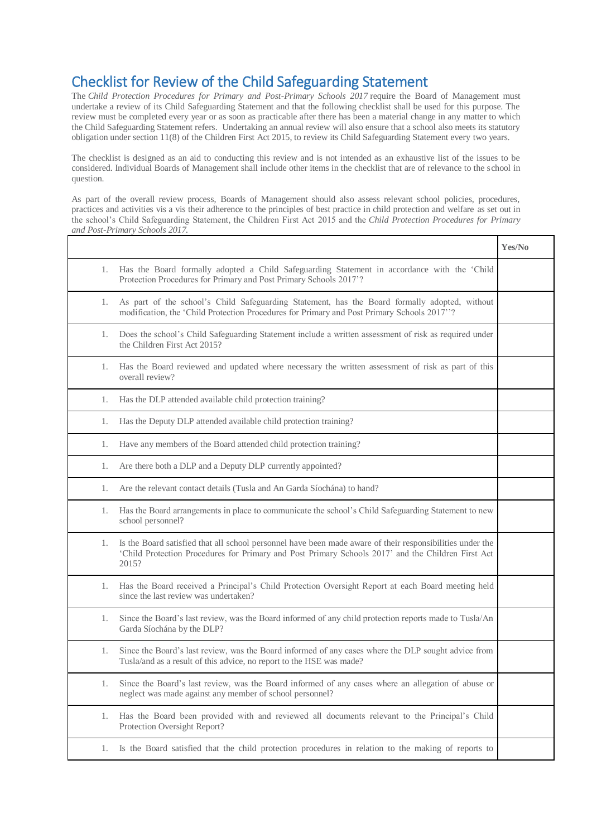## Checklist for Review of the Child Safeguarding Statement

The *Child Protection Procedures for Primary and Post-Primary Schools 2017* require the Board of Management must undertake a review of its Child Safeguarding Statement and that the following checklist shall be used for this purpose. The review must be completed every year or as soon as practicable after there has been a material change in any matter to which the Child Safeguarding Statement refers. Undertaking an annual review will also ensure that a school also meets its statutory obligation under section 11(8) of the Children First Act 2015, to review its Child Safeguarding Statement every two years.

The checklist is designed as an aid to conducting this review and is not intended as an exhaustive list of the issues to be considered. Individual Boards of Management shall include other items in the checklist that are of relevance to the school in question.

As part of the overall review process, Boards of Management should also assess relevant school policies, procedures, practices and activities vis a vis their adherence to the principles of best practice in child protection and welfare as set out in the school's Child Safeguarding Statement, the Children First Act 2015 and the *Child Protection Procedures for Primary and Post-Primary Schools 2017.*

|                                                                                                                                                                                                                                | Yes/No |
|--------------------------------------------------------------------------------------------------------------------------------------------------------------------------------------------------------------------------------|--------|
| Has the Board formally adopted a Child Safeguarding Statement in accordance with the 'Child<br>1.<br>Protection Procedures for Primary and Post Primary Schools 2017'?                                                         |        |
| As part of the school's Child Safeguarding Statement, has the Board formally adopted, without<br>1.<br>modification, the 'Child Protection Procedures for Primary and Post Primary Schools 2017"?                              |        |
| Does the school's Child Safeguarding Statement include a written assessment of risk as required under<br>1.<br>the Children First Act 2015?                                                                                    |        |
| Has the Board reviewed and updated where necessary the written assessment of risk as part of this<br>1.<br>overall review?                                                                                                     |        |
| Has the DLP attended available child protection training?<br>1.                                                                                                                                                                |        |
| Has the Deputy DLP attended available child protection training?<br>1.                                                                                                                                                         |        |
| Have any members of the Board attended child protection training?<br>1.                                                                                                                                                        |        |
| Are there both a DLP and a Deputy DLP currently appointed?<br>1.                                                                                                                                                               |        |
| Are the relevant contact details (Tusla and An Garda Síochána) to hand?<br>1.                                                                                                                                                  |        |
| Has the Board arrangements in place to communicate the school's Child Safeguarding Statement to new<br>1.<br>school personnel?                                                                                                 |        |
| Is the Board satisfied that all school personnel have been made aware of their responsibilities under the<br>1.<br>'Child Protection Procedures for Primary and Post Primary Schools 2017' and the Children First Act<br>2015? |        |
| Has the Board received a Principal's Child Protection Oversight Report at each Board meeting held<br>1.<br>since the last review was undertaken?                                                                               |        |
| Since the Board's last review, was the Board informed of any child protection reports made to Tusla/An<br>1.<br>Garda Síochána by the DLP?                                                                                     |        |
| Since the Board's last review, was the Board informed of any cases where the DLP sought advice from<br>1.<br>Tusla/and as a result of this advice, no report to the HSE was made?                                              |        |
| Since the Board's last review, was the Board informed of any cases where an allegation of abuse or<br>1.<br>neglect was made against any member of school personnel?                                                           |        |
| Has the Board been provided with and reviewed all documents relevant to the Principal's Child<br>1.<br>Protection Oversight Report?                                                                                            |        |
| Is the Board satisfied that the child protection procedures in relation to the making of reports to<br>1.                                                                                                                      |        |
|                                                                                                                                                                                                                                |        |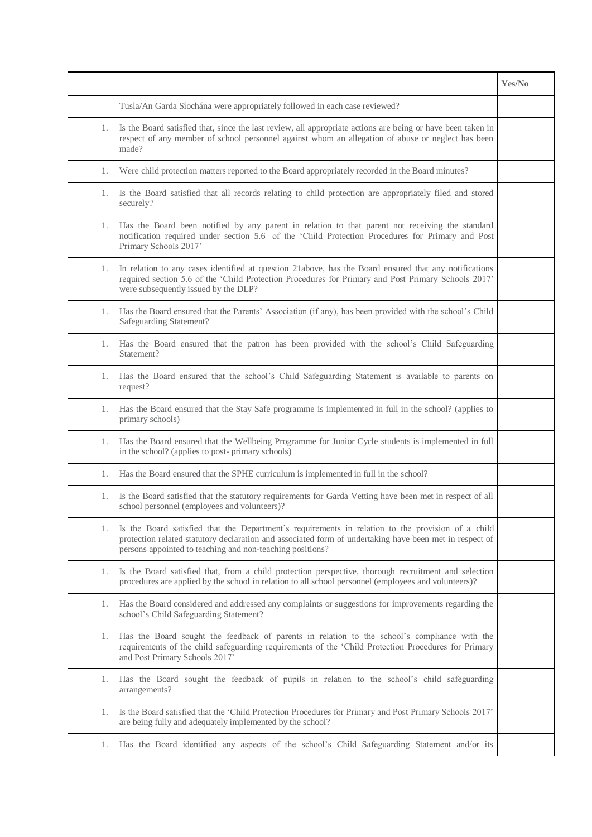|    |                                                                                                                                                                                                                                                                           | Yes/No |
|----|---------------------------------------------------------------------------------------------------------------------------------------------------------------------------------------------------------------------------------------------------------------------------|--------|
|    | Tusla/An Garda Síochána were appropriately followed in each case reviewed?                                                                                                                                                                                                |        |
| 1. | Is the Board satisfied that, since the last review, all appropriate actions are being or have been taken in<br>respect of any member of school personnel against whom an allegation of abuse or neglect has been<br>made?                                                 |        |
| 1. | Were child protection matters reported to the Board appropriately recorded in the Board minutes?                                                                                                                                                                          |        |
| 1. | Is the Board satisfied that all records relating to child protection are appropriately filed and stored<br>securely?                                                                                                                                                      |        |
| 1. | Has the Board been notified by any parent in relation to that parent not receiving the standard<br>notification required under section 5.6 of the 'Child Protection Procedures for Primary and Post<br>Primary Schools 2017'                                              |        |
| 1. | In relation to any cases identified at question 21 above, has the Board ensured that any notifications<br>required section 5.6 of the 'Child Protection Procedures for Primary and Post Primary Schools 2017'<br>were subsequently issued by the DLP?                     |        |
| 1. | Has the Board ensured that the Parents' Association (if any), has been provided with the school's Child<br>Safeguarding Statement?                                                                                                                                        |        |
| 1. | Has the Board ensured that the patron has been provided with the school's Child Safeguarding<br>Statement?                                                                                                                                                                |        |
| 1. | Has the Board ensured that the school's Child Safeguarding Statement is available to parents on<br>request?                                                                                                                                                               |        |
| 1. | Has the Board ensured that the Stay Safe programme is implemented in full in the school? (applies to<br>primary schools)                                                                                                                                                  |        |
| 1. | Has the Board ensured that the Wellbeing Programme for Junior Cycle students is implemented in full<br>in the school? (applies to post-primary schools)                                                                                                                   |        |
| 1. | Has the Board ensured that the SPHE curriculum is implemented in full in the school?                                                                                                                                                                                      |        |
| 1. | Is the Board satisfied that the statutory requirements for Garda Vetting have been met in respect of all<br>school personnel (employees and volunteers)?                                                                                                                  |        |
| 1. | Is the Board satisfied that the Department's requirements in relation to the provision of a child<br>protection related statutory declaration and associated form of undertaking have been met in respect of<br>persons appointed to teaching and non-teaching positions? |        |
| 1. | Is the Board satisfied that, from a child protection perspective, thorough recruitment and selection<br>procedures are applied by the school in relation to all school personnel (employees and volunteers)?                                                              |        |
| 1. | Has the Board considered and addressed any complaints or suggestions for improvements regarding the<br>school's Child Safeguarding Statement?                                                                                                                             |        |
| 1. | Has the Board sought the feedback of parents in relation to the school's compliance with the<br>requirements of the child safeguarding requirements of the 'Child Protection Procedures for Primary<br>and Post Primary Schools 2017'                                     |        |
| 1. | Has the Board sought the feedback of pupils in relation to the school's child safeguarding<br>arrangements?                                                                                                                                                               |        |
| 1. | Is the Board satisfied that the 'Child Protection Procedures for Primary and Post Primary Schools 2017'<br>are being fully and adequately implemented by the school?                                                                                                      |        |
| 1. | Has the Board identified any aspects of the school's Child Safeguarding Statement and/or its                                                                                                                                                                              |        |
|    |                                                                                                                                                                                                                                                                           |        |